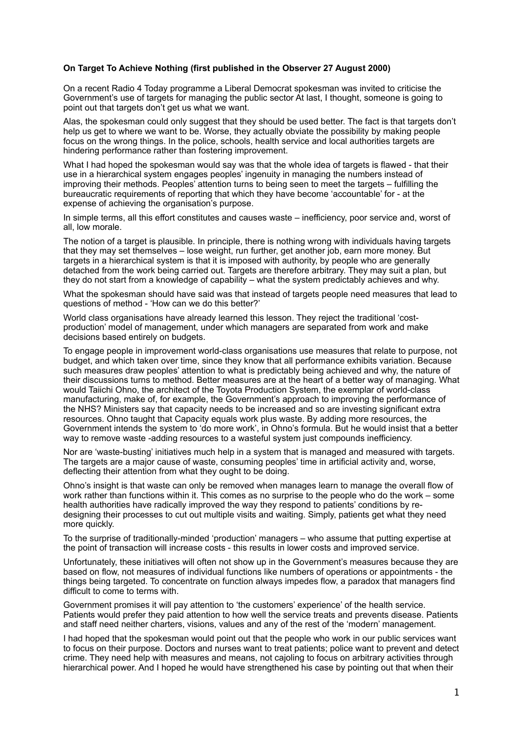## **On Target To Achieve Nothing (first published in the Observer 27 August 2000)**

On a recent Radio 4 Today programme a Liberal Democrat spokesman was invited to criticise the Government's use of targets for managing the public sector At last, I thought, someone is going to point out that targets don't get us what we want.

Alas, the spokesman could only suggest that they should be used better. The fact is that targets don't help us get to where we want to be. Worse, they actually obviate the possibility by making people focus on the wrong things. In the police, schools, health service and local authorities targets are hindering performance rather than fostering improvement.

What I had hoped the spokesman would say was that the whole idea of targets is flawed - that their use in a hierarchical system engages peoples' ingenuity in managing the numbers instead of improving their methods. Peoples' attention turns to being seen to meet the targets – fulfilling the bureaucratic requirements of reporting that which they have become 'accountable' for - at the expense of achieving the organisation's purpose.

In simple terms, all this effort constitutes and causes waste – inefficiency, poor service and, worst of all, low morale.

The notion of a target is plausible. In principle, there is nothing wrong with individuals having targets that they may set themselves – lose weight, run further, get another job, earn more money. But targets in a hierarchical system is that it is imposed with authority, by people who are generally detached from the work being carried out. Targets are therefore arbitrary. They may suit a plan, but they do not start from a knowledge of capability – what the system predictably achieves and why.

What the spokesman should have said was that instead of targets people need measures that lead to questions of method - 'How can we do this better?'

World class organisations have already learned this lesson. They reject the traditional 'costproduction' model of management, under which managers are separated from work and make decisions based entirely on budgets.

To engage people in improvement world-class organisations use measures that relate to purpose, not budget, and which taken over time, since they know that all performance exhibits variation. Because such measures draw peoples' attention to what is predictably being achieved and why, the nature of their discussions turns to method. Better measures are at the heart of a better way of managing. What would Taiichi Ohno, the architect of the Toyota Production System, the exemplar of world-class manufacturing, make of, for example, the Government's approach to improving the performance of the NHS? Ministers say that capacity needs to be increased and so are investing significant extra resources. Ohno taught that Capacity equals work plus waste. By adding more resources, the Government intends the system to 'do more work', in Ohno's formula. But he would insist that a better way to remove waste -adding resources to a wasteful system just compounds inefficiency.

Nor are 'waste-busting' initiatives much help in a system that is managed and measured with targets. The targets are a major cause of waste, consuming peoples' time in artificial activity and, worse, deflecting their attention from what they ought to be doing.

Ohno's insight is that waste can only be removed when manages learn to manage the overall flow of work rather than functions within it. This comes as no surprise to the people who do the work – some health authorities have radically improved the way they respond to patients' conditions by redesigning their processes to cut out multiple visits and waiting. Simply, patients get what they need more quickly.

To the surprise of traditionally-minded 'production' managers – who assume that putting expertise at the point of transaction will increase costs - this results in lower costs and improved service.

Unfortunately, these initiatives will often not show up in the Government's measures because they are based on flow, not measures of individual functions like numbers of operations or appointments - the things being targeted. To concentrate on function always impedes flow, a paradox that managers find difficult to come to terms with.

Government promises it will pay attention to 'the customers' experience' of the health service. Patients would prefer they paid attention to how well the service treats and prevents disease. Patients and staff need neither charters, visions, values and any of the rest of the 'modern' management.

I had hoped that the spokesman would point out that the people who work in our public services want to focus on their purpose. Doctors and nurses want to treat patients; police want to prevent and detect crime. They need help with measures and means, not cajoling to focus on arbitrary activities through hierarchical power. And I hoped he would have strengthened his case by pointing out that when their